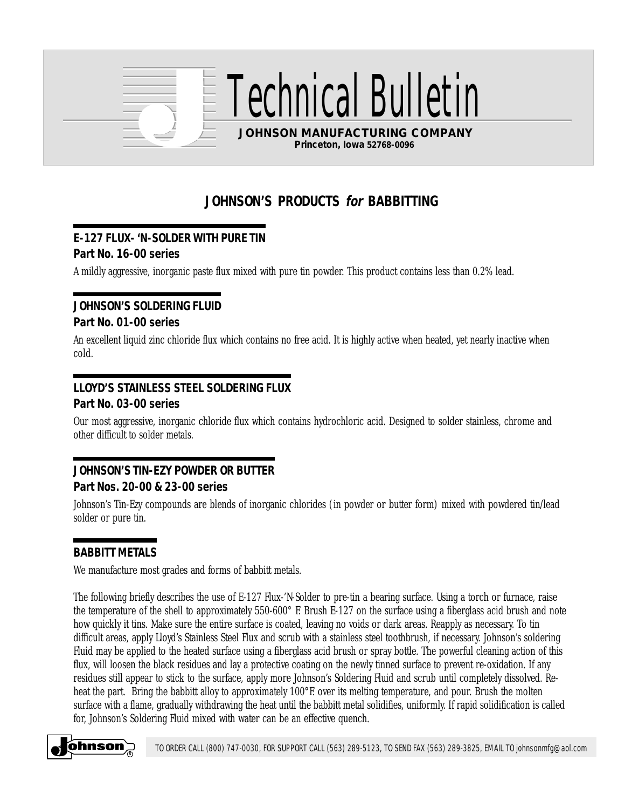

ical Bulle

**JOHNSON MANUFACTURING COMPANY Princeton, Iowa 52768-0096**

# **JOHNSON'S PRODUCTS for BABBITTING**

## **E-127 FLUX- 'N-SOLDER WITH PURE TIN**

#### **Part No. 16-00 series**

A mildly aggressive, inorganic paste flux mixed with pure tin powder. This product contains less than 0.2% lead.

#### **JOHNSON'S SOLDERING FLUID Part No. 01-00 series**

An excellent liquid zinc chloride flux which contains no free acid. It is highly active when heated, yet nearly inactive when cold.

## **LLOYD'S STAINLESS STEEL SOLDERING FLUX**

#### **Part No. 03-00 series**

Our most aggressive, inorganic chloride flux which contains hydrochloric acid. Designed to solder stainless, chrome and other difficult to solder metals.

## **JOHNSON'S TIN-EZY POWDER OR BUTTER Part Nos. 20-00 & 23-00 series**

Johnson's Tin-Ezy compounds are blends of inorganic chlorides (in powder or butter form) mixed with powdered tin/lead solder or pure tin.

#### **BABBITT METALS**

We manufacture most grades and forms of babbitt metals.

The following briefly describes the use of E-127 Flux-'N-Solder to pre-tin a bearing surface. Using a torch or furnace, raise the temperature of the shell to approximately 550-600° F. Brush E-127 on the surface using a fiberglass acid brush and note how quickly it tins. Make sure the entire surface is coated, leaving no voids or dark areas. Reapply as necessary. To tin difficult areas, apply Lloyd's Stainless Steel Flux and scrub with a stainless steel toothbrush, if necessary. Johnson's soldering Fluid may be applied to the heated surface using a fiberglass acid brush or spray bottle. The powerful cleaning action of this flux, will loosen the black residues and lay a protective coating on the newly tinned surface to prevent re-oxidation. If any residues still appear to stick to the surface, apply more Johnson's Soldering Fluid and scrub until completely dissolved. Reheat the part. Bring the babbitt alloy to approximately 100°F. over its melting temperature, and pour. Brush the molten surface with a flame, gradually withdrawing the heat until the babbitt metal solidifies, uniformly. If rapid solidification is called for, Johnson's Soldering Fluid mixed with water can be an effective quench.